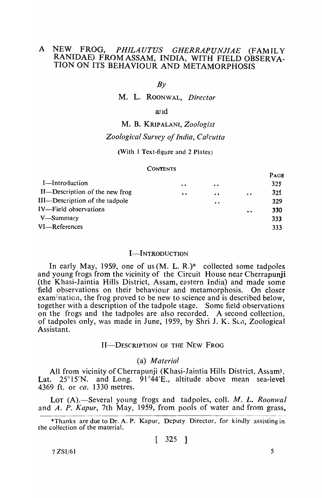# A NEW FROG, *PHILAUTUS GHERRAPUNJIAE* (FAMILY RAN[DAE) FROMASSAM, INDIA, WITH FIELD OBSERVA-TION ON ITS BEHAVIOUR AND METAMORPHOSIS

#### $Bv$

M. L. ROONWAL, *Director* 

#### and

## M. B. KRIPALANI, *Zoologist*

## *Zoological Survey of India, Calcutta*

#### (With 1 Text-figure and 2 Plates)

#### **CONTENTS**

|                                |                                               |                  |                                                                     | <b>TAUL</b>     |
|--------------------------------|-----------------------------------------------|------------------|---------------------------------------------------------------------|-----------------|
| I—Introduction                 | $\bullet\hspace{0.1cm} \bullet\hspace{0.1cm}$ | $\bullet\bullet$ |                                                                     | 325             |
| II—Description of the new frog | $\bullet$                                     | $\bullet$        | $\bullet\hspace{0.4mm} \bullet\hspace{0.4mm} \bullet\hspace{0.4mm}$ | 32 <sub>5</sub> |
| III-Description of the tadpole |                                               | $\bullet\bullet$ |                                                                     | 329             |
| IV-Field observations          |                                               |                  | $\bullet$                                                           | 330             |
| V—Summary                      |                                               |                  |                                                                     | 333             |
| VI-References                  |                                               |                  |                                                                     | 333             |
|                                |                                               |                  |                                                                     |                 |

## I-INTRODUCTION

In early May, 1959, one of us (M. L. R.)\* collected some tadpoles and young frogs from the vicinity of the Circuit House near Cherrapunji (the Khasi-Jaintia Hills District, Assam, eastern India) and made some 'field observations on their behaviour and metamorphosis. On closer examination, the frog proved to be new to science and is described below. together with a description of the tadpole stage. Some field observations on the frogs and the tadpoles are also recorded. A second collection, of tadpoles only, was made in June, 1959, by Shri J. K. Scn, Zoological Assistant.

## II-DESCRIPTION OF THE NEW FROG

#### (a) *Material*

All from vicinity of Cherrapunji (Khasi-Jaintia Hills District. Assam), Lat. 25°15'N. and Long. 91°44'E., altitude above mean sea-ievel 4369 ft. or *ca.* 1330 metres.

Lot (A).—Several young frogs and tadpoles, coll. *M. L. Roonwal* and A. P. *Kapur,* 7th May, 1959, from pools of water and from grass,

$$
[325]
$$

 $7 ZSI/61$  5

PAGJ!

<sup>\*</sup>Thanks are due to Dr. A. P. Kapur, Deputy Director, for kindly assisting in the collection of the material.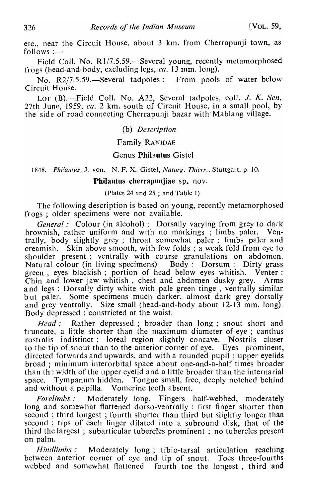etc., near the Circuit House, about 3 km. from Cherrapunji town, as  $follows :=$ 

Field Coll. No. R1/7.5.59.—-Several young, recently metamorphosed frogs (head-and-body, excluding legs, *ca.* 13 mm. long).

No. R2/7.5.59. Several tadpoles: From pools of water below Circuit House.

LOT (B).-Field Coll. No. A22, Several tadpoles, coll. *J. K. Sen,* 27th June, 1959, *ca.* 2 km. south of Circuit House, in a small pool, by the side of road connecting Cherrapunji bazar with Mablang village.

## (b) *Description*

## Family RANIDAE

## Genus Philzutus Gistel

1848. *Philautus*, J. von. N. F. X. Gistel, *Naturg. Thierr.*, Stuttgart, p. 10.

Philautus cherrapunjiae sp. nov.

## (Plates 24 and 25 ; and Table 1)

The following description is based on young, recently metamorphosed frogs; older specimens were not available.

*General:* Colour (in alcohol): Dorsally varying from grey to dark brownish, rather uniform and with no markings ; limbs paler. Ventrally, body slightly grey; throat somewhat paler; limbs paler and creamish. Skin above smooth, with few folds ; a weak fold from eye to shoulder present; ventrally with coarse granulations on abdomen. Natural colour (in living specimens) Body: Dorsum: Dirty grass green, eyes blackish; portion of head below eyes whitish. Venter: Chin and lower jaw whitish, chest and abdoruen dusky grey. Arms a nd legs: Dorsally dirty white with pale green tinge , ventrally similar but paler. Some specimens much darker, almost dark grey dorsally and grey ventrally. Size small (head-and-body about 12-13 mm. long). Body depressed: constricted at the waist.

Head : Rather depressed; broader than long; snout short and truncate, a little shorter than the maximum diameter of eye; canthus rostralis indistinct; loreal region slightly concave. Nostrils closer Lo the tip of snout than to the anterior corner of eye. Eyes prominent, directed forwards and upwards, and with a rounded pupil; upper eyelids broad; minimum interorbital space about one-and-a-half times broader than the width of the upper eyelid and a little broader than the internarial space. Tympanum hidden. Tongue small, free, deeply notched behind and without a papilla. Vomerine teeth absent.

*Forelimbs* .' Moderately long. Fingers half-webbed, moderately long and somewhat flattened dorso-ventrally : first finger shorter than second; third longest; fourth shorter than third but slightly longer than second ; tips of each finger dilated into a subround disk, that of the third the largest; subarticular tubercles prominent; no tubercles present on palm.

*Hindlimbs* .' Moderately long; tibio-tarsal articulation reaching between anterior corner of eye and tip of snout, Toes three-fourths webbed and somewhat flattened fourth toe the longest, third 'and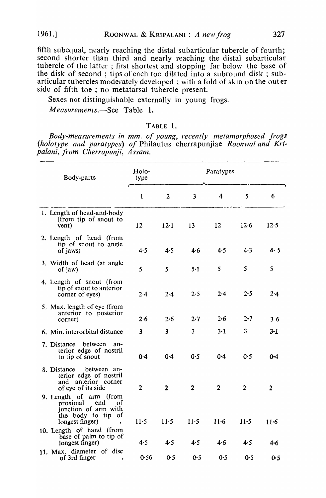fifth subequal, nearly reaching the distal subarticular tubercle of fourth; second shorter than third and nearly reaching the distal subarticular tubercle of the latter ; first shortest and stopping far below the base of the disk of second; tips of each toe dilated into a subround disk; subarticular tubercles moderately developed; with a fold of skin on the outer side of fifth toe ; no metatarsal tubercle present.

Sexes not distinguishable externally in young frogs.

*Measuremenls.-See* Table 1.

## TABLE 1.

*Body-measurements in mm. of young, recently metamorphosed frogs*  (holotype and paratypes) of Philautus cherrapunjiae *Roonwal and Kripalani, from Cherrapunji, Assam.* 

| Body-parts                                                                                                       | Holo-<br>type | Paratypes      |              |         |                |                |
|------------------------------------------------------------------------------------------------------------------|---------------|----------------|--------------|---------|----------------|----------------|
|                                                                                                                  | $\mathbf{1}$  | $\overline{2}$ | 3            | 4       | 5              | 6              |
| 1. Length of head-and-body<br>(from tip of snout to<br>vent)                                                     | 12            | 12.1           | 13           | 12      | 12.6           | 12.5           |
| 2. Length of head (from<br>tip of snout to angle<br>of jaws)                                                     | 4.5           | 4.5            | 4.6          | 4.5     | 4.3            | 4.5            |
| 3. Width of head (at angle<br>of <i>jaw</i> )                                                                    | 5             | 5              | $5-1$        | 5       | 5              | 5              |
| 4. Length of snout (from<br>tip of snout to anterior<br>corner of eyes)                                          | 2.4           | 2.4            | 2.5          | 2.4     | 2.5            | $2 - 4$        |
| 5. Max. length of eye (from<br>anterior to posterior<br>corner)                                                  | 2.6           | 2.6            | $2 - 7$      | 2.6     | $2 \cdot 7$    | 36             |
| 6. Min. interorbital distance                                                                                    | 3             | 3              | $\mathbf{3}$ | $3-1$   | 3              | $3 - 1$        |
| 7. Distance between<br>an-<br>terior edge of nostril<br>to tip of snout                                          | 0.4           | 0.4            | 0.5          | $0 - 4$ | 0.5            | $0 - 4$        |
| 8. Distance<br>between an-<br>terior edge of nostril<br>and anterior corner<br>of eye of its side                | 2             | $\mathbf 2$    | $\mathbf{2}$ | 2       | $\overline{2}$ | $\overline{2}$ |
| 9. Length of arm (from<br>proximal<br>end<br>οt<br>junction of arm with<br>the body to tip of<br>longest finger) | 11.5          | 11.5           | 11.5         | 11.6    | $11-5$         | $11-6$         |
| 10. Length of hand (from<br>base of palm to tip of<br>longest finger)                                            | 4.5           | 4.5            | 4.5          | 4·6     | 4.5            | $4 - 6$        |
| 11. Max. diameter of disc<br>of 3rd finger                                                                       | 0.56          | 0.5            | 0.5          | 0.5     | 0.5            | $0 - 5$        |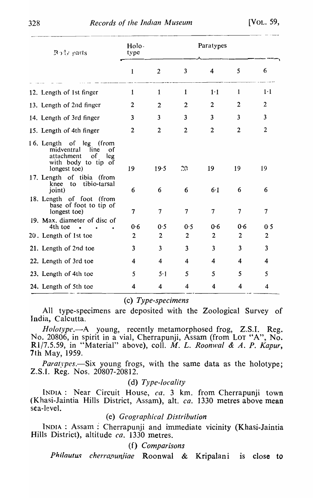| $R_{\text{M}}$ parts                                                                                                             | Holo-<br>type           |                | Paratypes               |                         |                          |                          |
|----------------------------------------------------------------------------------------------------------------------------------|-------------------------|----------------|-------------------------|-------------------------|--------------------------|--------------------------|
|                                                                                                                                  | $\mathbf{1}$            | $\overline{2}$ | $\overline{\mathbf{3}}$ | $\overline{4}$          | 5                        | 6                        |
| 12. Length of 1st finger                                                                                                         | $\mathbf{1}$            | $\mathbf{1}$   | $\mathbf{1}$            | 1·1                     | $\mathbf{1}$             | $1-1$                    |
| 13. Length of 2nd finger                                                                                                         | $\overline{2}$          | $\overline{2}$ | $\overline{2}$          | $\overline{2}$          | $\overline{2}$           | $\overline{2}$           |
| 14. Length of 3rd finger                                                                                                         | $\overline{\mathbf{3}}$ | $\overline{3}$ | $\overline{3}$          | $\overline{\mathbf{3}}$ | 3                        | $\overline{\mathbf{3}}$  |
| 15. Length of 4th finger                                                                                                         | $\overline{2}$          | $\overline{2}$ | $\overline{2}$          | $\overline{2}$          | $\overline{2}$           | $\overline{2}$           |
| 16. Length of leg (from<br>midventral<br>line<br>οf<br>attachment<br><sub>of</sub><br>leg<br>with body to tip of<br>longest toe) | 19                      | 19.5           | 20                      | 19                      | 19                       | 19                       |
| 17. Length of tibia (from<br>to tibio-tarsal<br>knee<br>joint)                                                                   | 6                       | 6              | 6                       | 6.1                     | 6                        | 6                        |
| 18. Length of foot (from<br>base of foot to tip of<br>longest toe)                                                               | $\overline{7}$          | $\tau$         | $7\overline{ }$         | $\overline{7}$          | $\overline{\mathcal{L}}$ | $\overline{\mathcal{L}}$ |
| 19. Max. diameter of disc of<br>4th toe                                                                                          | 0.6                     | 0.5            | 0.5                     | 0.6                     | 0.6                      | 0.5                      |
| 20. Length of 1st toe                                                                                                            | $\overline{2}$          | $\overline{2}$ | $\overline{2}$          | $\overline{2}$          | $\overline{2}$           | $\overline{2}$           |
| 21. Length of 2nd toe                                                                                                            | $\overline{\mathbf{3}}$ | $\overline{3}$ | $\overline{\mathbf{3}}$ | $\overline{3}$          | $\overline{\mathbf{3}}$  | $\overline{\mathbf{3}}$  |
| 22. Length of 3rd toe                                                                                                            | 4                       | $\overline{4}$ | $\overline{4}$          | $\overline{\mathbf{4}}$ | 4                        | 4                        |
| 23. Length of 4th toe                                                                                                            | 5                       | 5.1            | 5                       | 5                       | 5                        | 5                        |
| 24. Length of 5th toe                                                                                                            | 4                       | 4              | $\overline{4}$          | 4                       | 4                        | 4                        |

# (c) *Type-specimens*

All type-specimens are deposited with the Zoological Survey of India, Calcutta.

*Holotype*.—A young, recently metamorphosed frog, Z.S.I. Reg. No. 20806, in spirit in a vial, Cherrapunji, Assam (from LOT "A", No. R1/7.5.59, in "Material" above), coll. *M. L. Roonwal & A. P. Kapur*, 7th May, 1959.

*Paratypes.*—Six young frogs, with the same data as the holotype; Z.S.I. Reg. Nos. 20807-20812.

#### (d) *Type-locality*

INDIA: Near Circuit House, *ca.* 3 km. from Cherrapunji town (Khasi-Jaintia Hills District, Assam), alt. *ca.* 1330 metres above mean sea-level.

## (e) *Geographical Distribution*

INDIA: Assam: Cherrapunji and immediate vicinity (Khasi-Jaintia Hills District), altitude *ca.* 1330 metres.

(f) *Comparisons* 

Philautus *cherrapunjiae* Roonwal & Kripalani is close to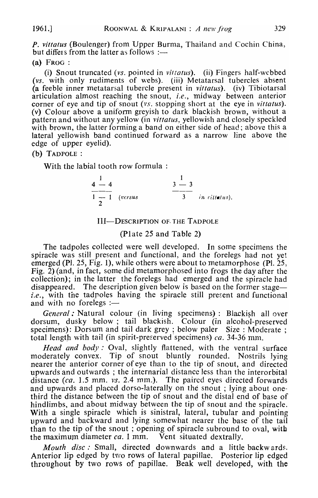P. *vittatus* (Boulenger) from Upper Burma, Thailand and Cochin China, but differs from the latter as follows :--

## (a) FROG:

(i) Snout truncated *(vs.* pointed in *viltatus).* (ii) Fingers half-webbed *(vs.* with only rudiments of \\'ebs). (iii) Metatarsal tubercles absent (a feeble inner metatarsal tubercle present in *vittatus).* (iv) Tibiotarsal articulation almost reaching the snout, *i.e.*, midway between anterior corner of eye and tip of snout *(vs.* stopping short at the eye in *vitlatus).*  (v) Colour above a uniform greyish to dark blackish brown, without a pattern and without any yellow (in *vittatus,* yellowish and closely speckled with brown, the latter forming a band on either side of head; above this a lateral yellowish band continued forward as a narrow line above the edge of upper eyelid).

# (b) TADPOLE :

With the labial tooth row formula :

 $4\frac{1}{4}$   $4\frac{1}{4}$   $3\frac{1}{4}$  $3 - 3$ 3 *in rill«ius).* 

## III-DESCRIPTION OF. THE TADPOLE

## (Plate 25 and Table 2)

The tadpoles collected were well developed. In some specimens the spiracle was still present and functional, and the forelegs had not yet emerged (Pl. 25, Fig. 1), while others were about to metamorphose (Pl. 25, Fig. 2) (and, in fact, some did metamorphosed into frogs the day after the collection); in the latter the forelegs had emerged and the spiracle had disappeared. The description given below is based on the former stage *i.e.*, with the tadpoles having the spiracle still present and functional and with no forelegs  $:=$ 

General : Natural colour (in living specimens) : Blackish all over dorsum, dusky below; tail blackish. Colour (in alcohol-preserved specimens): Dorsum and tail dark grey; below paler Size: Moderate; total length with tail (in spirit-preserved specimens) *ca.* 34-36 mm.

*Head and body:* Oval, slightly flattened, with the ventral surface moderately convex. Tip of snout bluntly rounded. Nostrils lying nearer the anterior corner of eye than to the tip of snout, and directed upwards'and outwards; the internarial distance less than the interorbital distance *(ca.* 1.5 mm. *VS.* 2.4 mm.). The paired eyes directed forwards and upwards and placed dorso-laterally on the snout; lying about onethird the distance between the tip of snout and the distal end of base of hindlimbs, and about midway between the tip of snout and the spiracle. With a single spiracle which is sinistral, lateral, tubular and pointing upward and backward and lying somewhat nearer the base of the tail than to the tip of the snout; opening of spiracle subround to oval, with the maximum diameter *ca.* 1 mm. Vent situated dextrally.

*Mouth disc:* Small, directed downwards and a little backwards. Anterior lip edged by *tvvo* rows of lateral papillae. Posterior lip edged throughout by two rows of papillae. Beak well developed, with the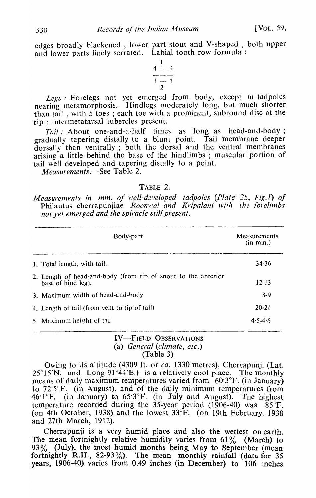edges broadly blackened, lower part stout and V-shaped, both upper and lower parts finely serrated. Labial tooth row formula:



*Legs.'* Forelegs not yet emerged from body, except in tadpoles nearing metamorphosis. Hindlegs moderately long, but much shorter than tail, with 5 toes; each toe with a prominent, subround disc at the tip; intermetatarsal tubercles present.

*Tail*: About one-and-a-half times as long as head-and-body; gradually tapering distally to a blunt point. Tail membrane deeper dorsally than ventrally ; both the dorsal and the ventral membranes arising a little behind the base of the hindlimbs ; muscular portion of tail well developed and tapering distally to a point.

*Measurements.-See* Table 2.

## TABLE 2.

*Measurements in mm. of well-developed tadpoles (Plate 25, Fig.l) of* Philautus cherrapunjiae Roonwal and Kripalani with the forelimbs *not yet emerged and the spiracle still present.* 

| Body-part                                                                           | Measurements<br>(in m m) |
|-------------------------------------------------------------------------------------|--------------------------|
| 1. Total length, with tail.                                                         | $34 - 36$                |
| 2. Length of head-and-body (from tip of snout to the anterior<br>base of hind leg). | $12 - 13$                |
| 3. Maximum width of head-and-body                                                   | $8 - 9$                  |
| 4. Length of tail (from vent to tip of tail)                                        | $20 - 21$                |
| 5 Maximum height of tail                                                            | $4.5 - 4.6$              |

## IV-FIELD OBSERVATIONS (a) *General (climate, etc.)*  (Table 3)

Owing to its altitude (4309 ft. or *ca.* 1330 metres), Cherrapunji (Lat.  $25^{\circ}15'$ N. and Long 91°44′E.) is a relatively cool place. The monthly means of daily maximum temperatures varied from 60.3°F. (in January) to 72·5°F. (in August), and of the daily minimum temperatures from 46.1°F. (in January) to  $65.3$ °F. (in July and August). The highest temperature recorded during the  $35$ -year period (1906-40) was  $85^{\circ}$ F. (on 4th October, 1938) and the lowest 33°F. (on 19th February, 1938 and 27th March, 1912).

Cherrapunji is a very humid place and also the wettest on earth. The mean fortnightly relative humidity varies from  $61\%$  (March) to 93% (July), the most humid months being. May to September (mean fortnightly  $R.H., 82-93\%$ ). The mean monthly rainfall (data for 35 years, 1906-40) varies from 0.49 inches (in December) to 106 inches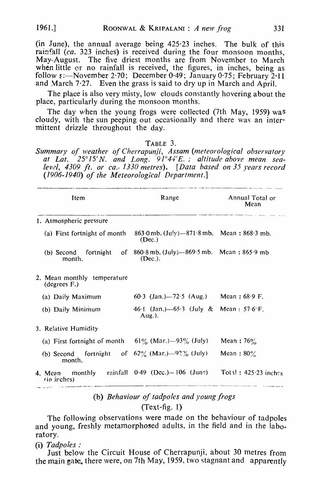(in June), the annual average being  $425.23$  inches. The bulk of this rainfall *(ca.* 323 inches) is received during the four monsoon months, May·-August. The five driest months are from November to March when little or no rainfall is received, the figures, in inches, being as follow  $\epsilon$ :—November 2.70; December 0.49; January 0.75; February 2.11 and March  $7.27$ . Even the grass is said to dry up in March and April.

The place is also very misty, low clouds constantly hovering about the place, particularly during the monsoon months.

The day when the young frogs were collected (7th May, 1959) was cloudy, with the sun peeping out occasionally and there was an intermittent drizzle throughout the day.

#### TABLE 3.

*Summary of weather of Cherrapunji, Assam (meteorological observatory at Lat.* 25° 15' *N. and Long.* 91°44' *E.; altitude above mean sealevel, 4309 ft. or ca.· 1330 metres). [Data based on* 35 *years record (1906-1940) of the Meteorologlcal Department.]* 

| Item                                                                                     | Range                                                          | Annual Total or<br>Mean |
|------------------------------------------------------------------------------------------|----------------------------------------------------------------|-------------------------|
| 1. Atmospheric pressure                                                                  |                                                                |                         |
| (a) First fortnight of month                                                             | 863.0 mb. $(\text{Ju}!y)$ —871.8 mb. Mean: 868.3 mb.<br>(Dec.) |                         |
| (b) Second fortnight of $860.8$ mb. (July)— $869.5$ mb. Mean: $865.9$ mb<br>month.       | (Dec.).                                                        |                         |
| 2. Mean monthly temperature<br>(degrees F.)                                              |                                                                |                         |
| (a) Daily Maximum                                                                        | 60.3 (Jan.)–72.5 (Aug.) Mean: 68.9 F.                          |                         |
| (b) Daily Minimum                                                                        | 46.1 (Jan.)-65.3 (July & Mean: 57.6°F.<br>$Aug.$ ).            |                         |
| 3. Relative Humidity                                                                     |                                                                |                         |
| (a) First fortnight of month $61\%$ (Mar.) $-93\%$ (July)                                |                                                                | Mean: $76\%$            |
| (b) Second fortnight of $62\%$ (Mar.) $-92\%$ (July)<br>month.                           |                                                                | Mean: $80\%$            |
| 4. Mean monthly rainfall $0.49$ (Dec.) $-106$ (June) Total: 425.23 inches<br>(in irches) |                                                                |                         |

# (b) *Behaviour of tadpoles and young frogs*  (Text-fig. 1)

The following observations were made on the behaviour of tadpoles and young, freshly metamorphosed adults, in the field and in the laboratory.

(i) *Tadpoles:* 

Just below the Circuit House of Cherrapunji, about 30 metres from the main gate, there were, on 7th May, 1959, two stagnant and apparently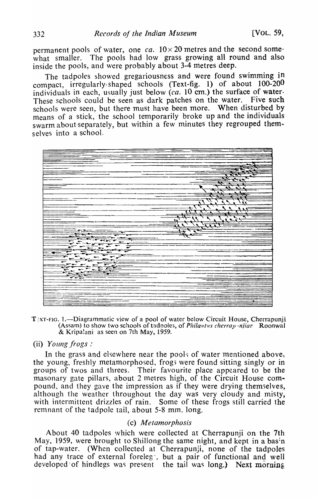permanent pools of water, one  $ca. 10 \times 20$  metres and the second somewhat smaller. The pools had low grass growing all round and also inside the pools, and were probably about 3-4 metres deep.

The tadpoles showed gregariousness and were found swimming in compact, irregularly-shaped schools (Text-fig. 1) of about 100-200 individuals in each, usually just below (ca. 10 cm.) the surface of water-These schools could be seen as dark patches on the water. Five such schools were seen, but there must have been more. When disturbed by means of a stick, the school temporarily broke up and the individuals swarm about separately, but within a few minutes they regrouped themselves into a school.



 $T_{\text{X}}$ T-FIG. 1.--Diagrammatic view of a pool of water below Circuit House, Cherrapunji (Assam) to show two schools of tadpoles, of *Philantus cherrap injiae* Roonwal & Kripa!ani as seen on 7th May, 1959.

## (ii) *Young frogs:*

In the grass and elsewhere near the pools of water mentioned above, the young, freshly metamorphosed, frog; were found sitting singly or in groups of twos and threes. Their favourite place appeared to be the masonary gate pillars, about 2 metres high, of the Circuit House compound, and they gave the impression as if they were drying themselves, although the weather throughout the day was very cloudy and misty, with intermittent drizzles of rain. Some of these frogs still carried the remnant of the tadpole tail, about 5-8 mm. long.

# (c) *Metamorphosis*

About 40 tadpoles which were collected at Cherrapunji on the 7th May, 1959, were brought to Shillong the same night, and kept in a basin of tap-water. (When collected at Cherrapunji, none of the tadpoles had any trace of external foreleg, but a pair of functional and well developed of hindlegs was present the tail was long.) Next morning